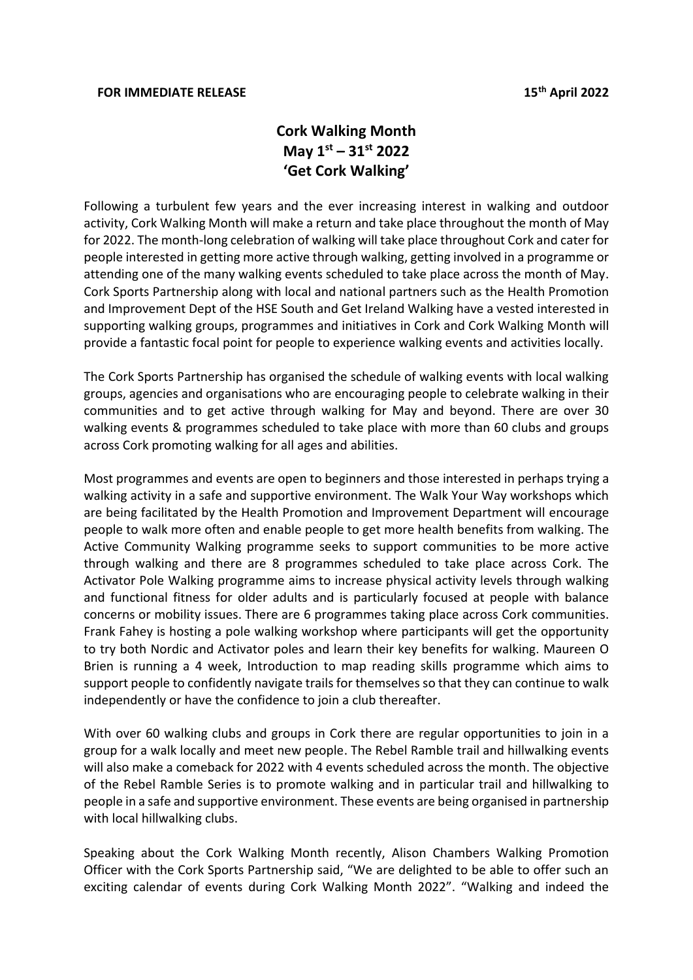## **Cork Walking Month May 1st – 31st 2022 'Get Cork Walking'**

Following a turbulent few years and the ever increasing interest in walking and outdoor activity, Cork Walking Month will make a return and take place throughout the month of May for 2022. The month-long celebration of walking will take place throughout Cork and cater for people interested in getting more active through walking, getting involved in a programme or attending one of the many walking events scheduled to take place across the month of May. Cork Sports Partnership along with local and national partners such as the Health Promotion and Improvement Dept of the HSE South and Get Ireland Walking have a vested interested in supporting walking groups, programmes and initiatives in Cork and Cork Walking Month will provide a fantastic focal point for people to experience walking events and activities locally.

The Cork Sports Partnership has organised the schedule of walking events with local walking groups, agencies and organisations who are encouraging people to celebrate walking in their communities and to get active through walking for May and beyond. There are over 30 walking events & programmes scheduled to take place with more than 60 clubs and groups across Cork promoting walking for all ages and abilities.

Most programmes and events are open to beginners and those interested in perhaps trying a walking activity in a safe and supportive environment. The Walk Your Way workshops which are being facilitated by the Health Promotion and Improvement Department will encourage people to walk more often and enable people to get more health benefits from walking. The Active Community Walking programme seeks to support communities to be more active through walking and there are 8 programmes scheduled to take place across Cork. The Activator Pole Walking programme aims to increase physical activity levels through walking and functional fitness for older adults and is particularly focused at people with balance concerns or mobility issues. There are 6 programmes taking place across Cork communities. Frank Fahey is hosting a pole walking workshop where participants will get the opportunity to try both Nordic and Activator poles and learn their key benefits for walking. Maureen O Brien is running a 4 week, Introduction to map reading skills programme which aims to support people to confidently navigate trails for themselves so that they can continue to walk independently or have the confidence to join a club thereafter.

With over 60 walking clubs and groups in Cork there are regular opportunities to join in a group for a walk locally and meet new people. The Rebel Ramble trail and hillwalking events will also make a comeback for 2022 with 4 events scheduled across the month. The objective of the Rebel Ramble Series is to promote walking and in particular trail and hillwalking to people in a safe and supportive environment. These events are being organised in partnership with local hillwalking clubs.

Speaking about the Cork Walking Month recently, Alison Chambers Walking Promotion Officer with the Cork Sports Partnership said, "We are delighted to be able to offer such an exciting calendar of events during Cork Walking Month 2022". "Walking and indeed the